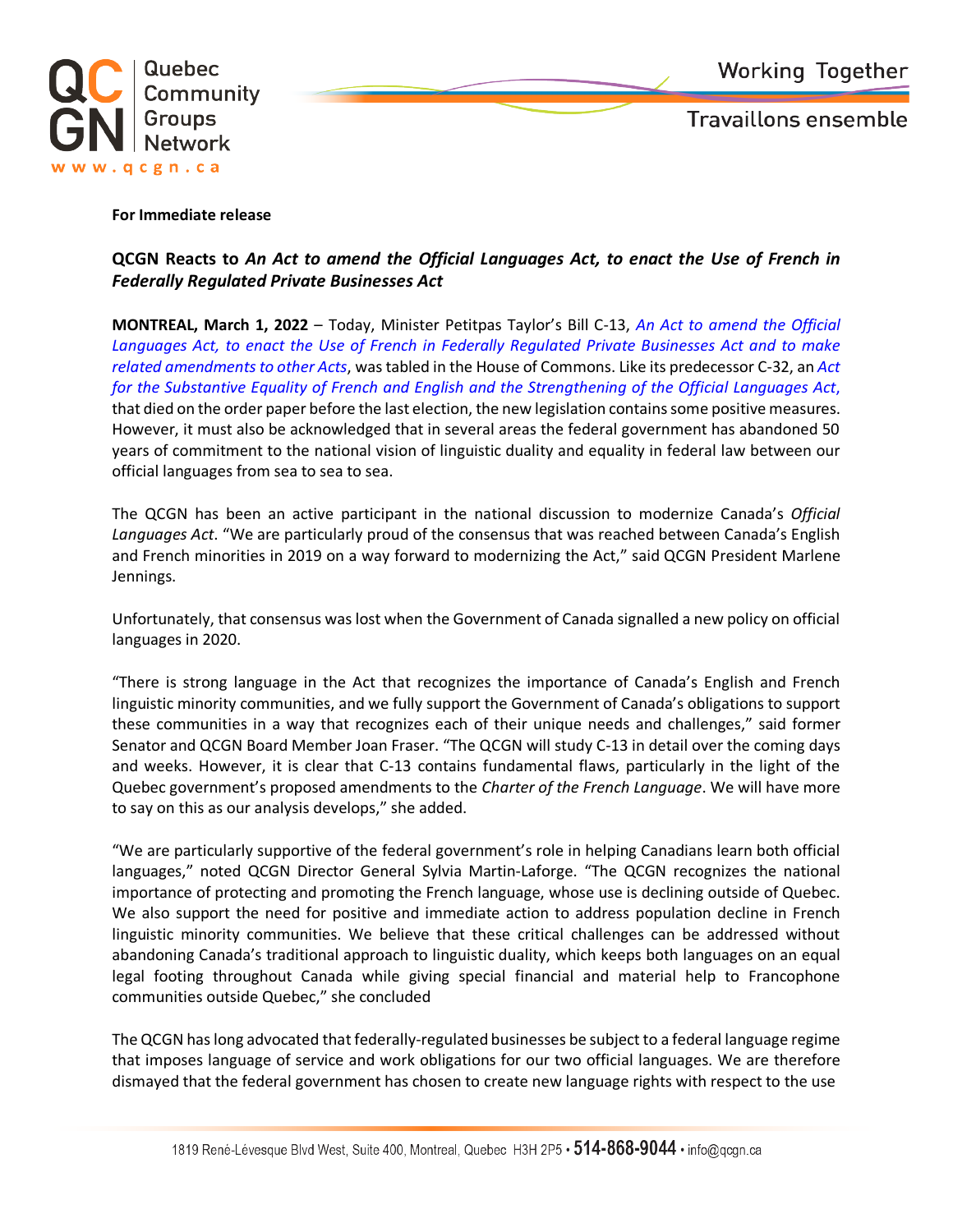

**Travaillons ensemble** 

## **For Immediate release**

## **QCGN Reacts to** *An Act to amend the Official Languages Act, to enact the Use of French in Federally Regulated Private Businesses Act*

**MONTREAL, March 1, 2022** – Today, Minister Petitpas Taylor's Bill C-13, *An Act to amend the Official Languages Act, to enact the Use of French in Federally Regulated Private Businesses Act and to make related amendments to other Acts*, was tabled in the House of Commons. Like its predecessor C-32, an *Act for the Substantive Equality of French and English and the Strengthening of the Official Languages Act*, that died on the order paper before the last election, the new legislation contains some positive measures. However, it must also be acknowledged that in several areas the federal government has abandoned 50 years of commitment to the national vision of linguistic duality and equality in federal law between our official languages from sea to sea to sea.

The QCGN has been an active participant in the national discussion to modernize Canada's *Official Languages Act*. "We are particularly proud of the consensus that was reached between Canada's English and French minorities in 2019 on a way forward to modernizing the Act," said QCGN President Marlene Jennings.

Unfortunately, that consensus was lost when the Government of Canada signalled a new policy on official languages in 2020.

"There is strong language in the Act that recognizes the importance of Canada's English and French linguistic minority communities, and we fully support the Government of Canada's obligations to support these communities in a way that recognizes each of their unique needs and challenges," said former Senator and QCGN Board Member Joan Fraser. "The QCGN will study C-13 in detail over the coming days and weeks. However, it is clear that C-13 contains fundamental flaws, particularly in the light of the Quebec government's proposed amendments to the *Charter of the French Language*. We will have more to say on this as our analysis develops," she added.

"We are particularly supportive of the federal government's role in helping Canadians learn both official languages," noted QCGN Director General Sylvia Martin-Laforge. "The QCGN recognizes the national importance of protecting and promoting the French language, whose use is declining outside of Quebec. We also support the need for positive and immediate action to address population decline in French linguistic minority communities. We believe that these critical challenges can be addressed without abandoning Canada's traditional approach to linguistic duality, which keeps both languages on an equal legal footing throughout Canada while giving special financial and material help to Francophone communities outside Quebec," she concluded

The QCGN has long advocated that federally-regulated businesses be subject to a federal language regime that imposes language of service and work obligations for our two official languages. We are therefore dismayed that the federal government has chosen to create new language rights with respect to the use